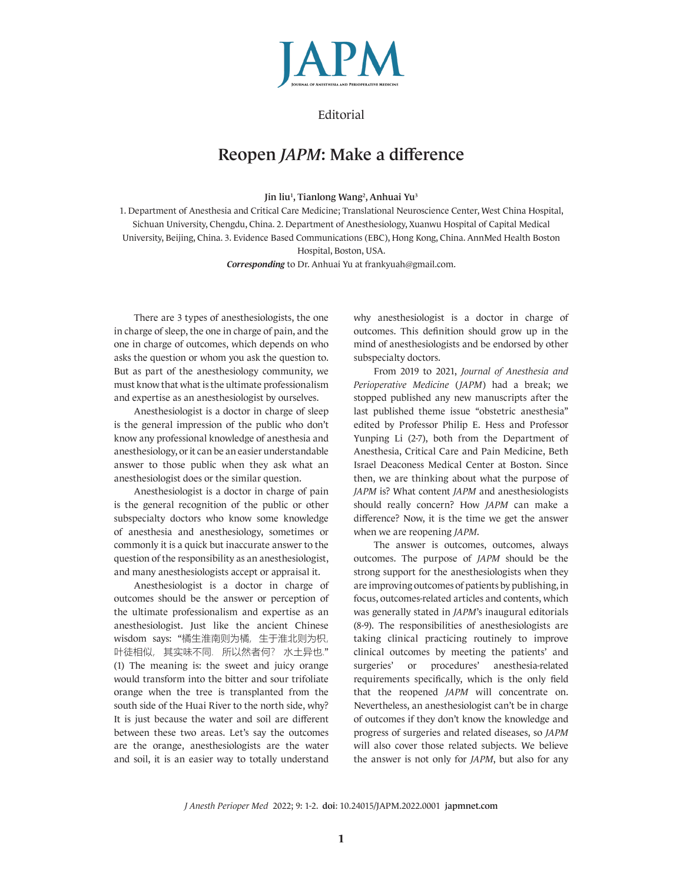

## **Editorial**

## Reopen *JAPM*: Make a difference

Jin liu<sup>1</sup>, Tianlong Wang<sup>2</sup>, Anhuai Yu<sup>3</sup>

1. Department of Anesthesia and Critical Care Medicine; Translational Neuroscience Center, West China Hospital, Sichuan University, Chengdu, China. 2. Department of Anesthesiology, Xuanwu Hospital of Capital Medical University, Beijing, China. 3. Evidence Based Communications (EBC), Hong Kong, China. AnnMed Health Boston Hospital, Boston, USA.

*Corresponding* to Dr. Anhuai Yu at frankyuah@gmail.com.

There are 3 types of anesthesiologists, the one in charge of sleep, the one in charge of pain, and the one in charge of outcomes, which depends on who asks the question or whom you ask the question to. But as part of the anesthesiology community, we must know that what is the ultimate professionalism and expertise as an anesthesiologist by ourselves.

Anesthesiologist is a doctor in charge of sleep is the general impression of the public who don't know any professional knowledge of anesthesia and anesthesiology, or it can be an easier understandable answer to those public when they ask what an anesthesiologist does or the similar question.

Anesthesiologist is a doctor in charge of pain is the general recognition of the public or other subspecialty doctors who know some knowledge of anesthesia and anesthesiology, sometimes or commonly it is a quick but inaccurate answer to the question of the responsibility as an anesthesiologist, and many anesthesiologists accept or appraisal it.

Anesthesiologist is a doctor in charge of outcomes should be the answer or perception of the ultimate professionalism and expertise as an anesthesiologist. Just like the ancient Chinese wisdom says: "橘生淮南则为橘, 生于淮北则为枳, 叶徒相似, 其实味不同. 所以然者何? 水土异也." (1) The meaning is: the sweet and juicy orange would transform into the bitter and sour trifoliate orange when the tree is transplanted from the south side of the Huai River to the north side, why? It is just because the water and soil are different between these two areas. Let's say the outcomes are the orange, anesthesiologists are the water and soil, it is an easier way to totally understand why anesthesiologist is a doctor in charge of outcomes. This definition should grow up in the mind of anesthesiologists and be endorsed by other subspecialty doctors.

From 2019 to 2021, *Journal of Anesthesia and Perioperative Medicine* (*JAPM*) had a break; we stopped published any new manuscripts after the last published theme issue "obstetric anesthesia" edited by Professor Philip E. Hess and Professor Yunping Li (2-7), both from the Department of Anesthesia, Critical Care and Pain Medicine, Beth Israel Deaconess Medical Center at Boston. Since then, we are thinking about what the purpose of *JAPM* is? What content *JAPM* and anesthesiologists should really concern? How *JAPM* can make a difference? Now, it is the time we get the answer when we are reopening *JAPM*.

The answer is outcomes, outcomes, always outcomes. The purpose of *JAPM* should be the strong support for the anesthesiologists when they are improving outcomes of patients by publishing, in focus, outcomes-related articles and contents, which was generally stated in *JAPM*'s inaugural editorials (8-9). The responsibilities of anesthesiologists are taking clinical practicing routinely to improve clinical outcomes by meeting the patients' and surgeries' or procedures' anesthesia-related requirements specifically, which is the only field that the reopened *JAPM* will concentrate on. Nevertheless, an anesthesiologist can't be in charge of outcomes if they don't know the knowledge and progress of surgeries and related diseases, so *JAPM* will also cover those related subjects. We believe the answer is not only for *JAPM*, but also for any